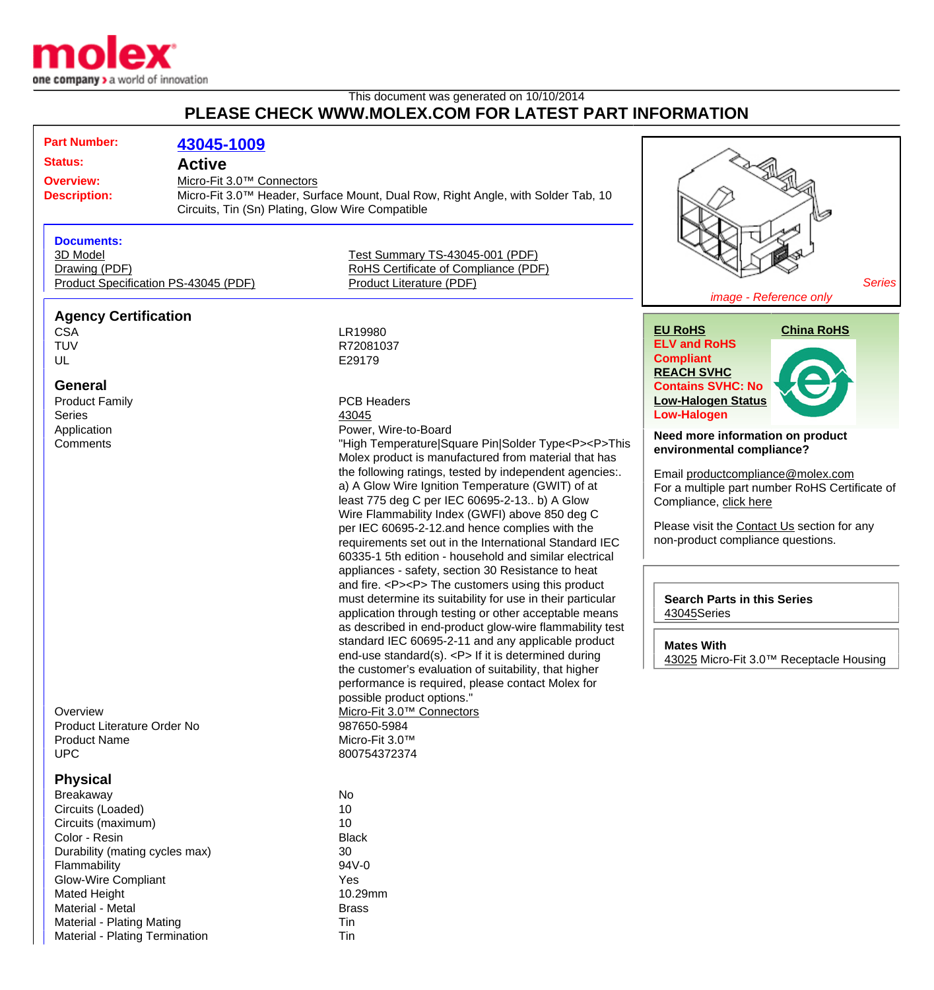

Material - Plating Mating Times and Times and Times Times are the Times Times Times Times Times Times Times Tim Material - Plating Termination Tin

## This document was generated on 10/10/2014 **PLEASE CHECK WWW.MOLEX.COM FOR LATEST PART INFORMATION**

| <b>Part Number:</b>                                                                                                                                                                                                                  |                                            |                                                                                                                                                                                                                                                                                                                                                                                                                                                                                                                                                                                                                                                                                                                                                                                                                                                                                                                                                                                                                                                                                                                                                                                                                                                                           |                                                                                                                                                                                                                                                                                                                                                                                                                                                                                                                                                                               |  |
|--------------------------------------------------------------------------------------------------------------------------------------------------------------------------------------------------------------------------------------|--------------------------------------------|---------------------------------------------------------------------------------------------------------------------------------------------------------------------------------------------------------------------------------------------------------------------------------------------------------------------------------------------------------------------------------------------------------------------------------------------------------------------------------------------------------------------------------------------------------------------------------------------------------------------------------------------------------------------------------------------------------------------------------------------------------------------------------------------------------------------------------------------------------------------------------------------------------------------------------------------------------------------------------------------------------------------------------------------------------------------------------------------------------------------------------------------------------------------------------------------------------------------------------------------------------------------------|-------------------------------------------------------------------------------------------------------------------------------------------------------------------------------------------------------------------------------------------------------------------------------------------------------------------------------------------------------------------------------------------------------------------------------------------------------------------------------------------------------------------------------------------------------------------------------|--|
|                                                                                                                                                                                                                                      | 43045-1009                                 |                                                                                                                                                                                                                                                                                                                                                                                                                                                                                                                                                                                                                                                                                                                                                                                                                                                                                                                                                                                                                                                                                                                                                                                                                                                                           |                                                                                                                                                                                                                                                                                                                                                                                                                                                                                                                                                                               |  |
| <b>Status:</b><br><b>Overview:</b><br><b>Description:</b>                                                                                                                                                                            | <b>Active</b><br>Micro-Fit 3.0™ Connectors | Micro-Fit 3.0 <sup>™</sup> Header, Surface Mount, Dual Row, Right Angle, with Solder Tab, 10<br>Circuits, Tin (Sn) Plating, Glow Wire Compatible<br>Ø                                                                                                                                                                                                                                                                                                                                                                                                                                                                                                                                                                                                                                                                                                                                                                                                                                                                                                                                                                                                                                                                                                                     |                                                                                                                                                                                                                                                                                                                                                                                                                                                                                                                                                                               |  |
| <b>Documents:</b><br>3D Model<br>Drawing (PDF)<br>Product Specification PS-43045 (PDF)                                                                                                                                               |                                            | Test Summary TS-43045-001 (PDF)<br>RoHS Certificate of Compliance (PDF)<br>Product Literature (PDF)                                                                                                                                                                                                                                                                                                                                                                                                                                                                                                                                                                                                                                                                                                                                                                                                                                                                                                                                                                                                                                                                                                                                                                       | <b>Series</b><br>image - Reference only                                                                                                                                                                                                                                                                                                                                                                                                                                                                                                                                       |  |
| <b>Agency Certification</b><br><b>CSA</b><br><b>TUV</b><br>UL<br><b>General</b><br><b>Product Family</b><br><b>Series</b><br>Application<br>Comments<br>Overview<br>Product Literature Order No<br><b>Product Name</b><br><b>UPC</b> |                                            | LR19980<br>R72081037<br>E29179<br><b>PCB Headers</b><br>43045<br>Power, Wire-to-Board<br>"High Temperature Square Pin Solder Type <p><p>This<br/>Molex product is manufactured from material that has<br/>the following ratings, tested by independent agencies:.<br/>a) A Glow Wire Ignition Temperature (GWIT) of at<br/>least 775 deg C per IEC 60695-2-13 b) A Glow<br/>Wire Flammability Index (GWFI) above 850 deg C<br/>per IEC 60695-2-12.and hence complies with the<br/>requirements set out in the International Standard IEC<br/>60335-1 5th edition - household and similar electrical<br/>appliances - safety, section 30 Resistance to heat<br/>and fire. <p><p> The customers using this product<br/>must determine its suitability for use in their particular<br/>application through testing or other acceptable means<br/>as described in end-product glow-wire flammability test<br/>standard IEC 60695-2-11 and any applicable product<br/>end-use standard(s). <p> If it is determined during<br/>the customer's evaluation of suitability, that higher<br/>performance is required, please contact Molex for<br/>possible product options."<br/>Micro-Fit 3.0™ Connectors<br/>987650-5984<br/>Micro-Fit 3.0™<br/>800754372374</p></p></p></p></p> | <b>China RoHS</b><br><b>EU RoHS</b><br><b>ELV and RoHS</b><br><b>Compliant</b><br><b>REACH SVHC</b><br><b>Contains SVHC: No</b><br><b>Low-Halogen Status</b><br><b>Low-Halogen</b><br>Need more information on product<br>environmental compliance?<br>Email productcompliance@molex.com<br>For a multiple part number RoHS Certificate of<br>Compliance, click here<br>Please visit the Contact Us section for any<br>non-product compliance questions.<br><b>Search Parts in this Series</b><br>43045Series<br><b>Mates With</b><br>43025 Micro-Fit 3.0™ Receptacle Housing |  |
| <b>Physical</b><br>Breakaway<br>Circuits (Loaded)<br>Circuits (maximum)<br>Color - Resin<br>Durability (mating cycles max)<br>Flammability<br>Glow-Wire Compliant<br>Mated Height<br>Material - Metal                                |                                            | No<br>10<br>10<br><b>Black</b><br>30<br>94V-0<br>Yes<br>10.29mm<br><b>Brass</b>                                                                                                                                                                                                                                                                                                                                                                                                                                                                                                                                                                                                                                                                                                                                                                                                                                                                                                                                                                                                                                                                                                                                                                                           |                                                                                                                                                                                                                                                                                                                                                                                                                                                                                                                                                                               |  |